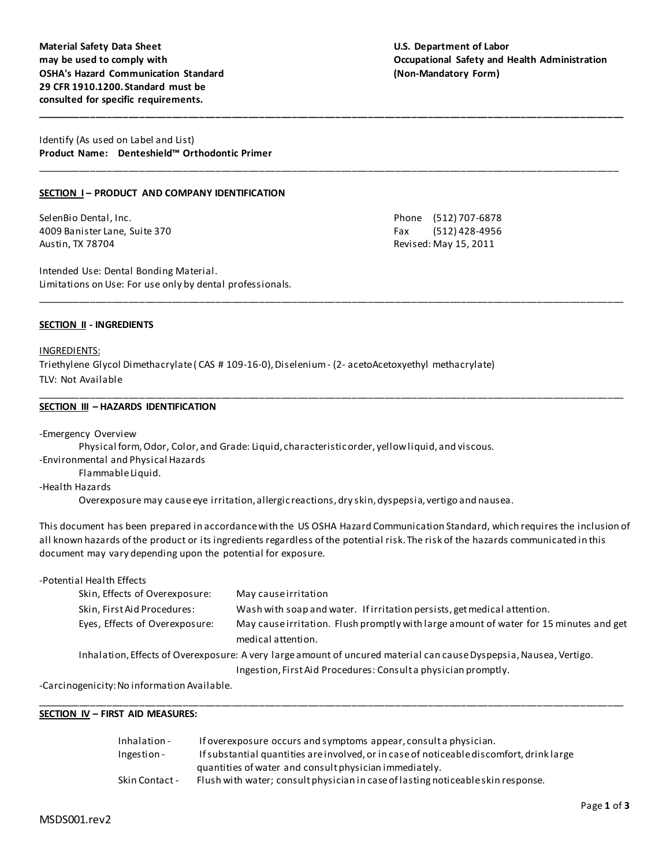# **may be used to comply with Occupational Safety and Health Administration**

Identify (As used on Label and List) **Product Name: Denteshield™ Orthodontic Primer**

## **SECTION I – PRODUCT AND COMPANY IDENTIFICATION**

SelenBio Dental, Inc. Phone (512) 707-6878 4009 Banister Lane, Suite 370 Fax (512) 428-4956 Austin, TX 78704 **Revised: May 15, 2011** 

Intended Use: Dental Bonding Material. Limitations on Use: For use only by dental professionals.

#### **SECTION II - INGREDIENTS**

#### INGREDIENTS:

Triethylene Glycol Dimethacrylate ( CAS # 109-16-0), Diselenium - (2- acetoAcetoxyethyl methacrylate) TLV: Not Available

#### **SECTION III – HAZARDS IDENTIFICATION**

-Emergency Overview

Physical form, Odor, Color, and Grade: Liquid, characteristic order, yellow liquid, and viscous. -Environmental and Physical Hazards

Flammable Liquid.

-Health Hazards

Overexposure may cause eye irritation, allergic reactions, dry skin, dyspepsia, vertigo and nausea.

This document has been prepared in accordance with the US OSHA Hazard Communication Standard, which requires the inclusion of all known hazards of the product or its ingredients regardless of the potential risk. The risk of the hazards communicated in this document may vary depending upon the potential for exposure.

**\_\_\_\_\_\_\_\_\_\_\_\_\_\_\_\_\_\_\_\_\_\_\_\_\_\_\_\_\_\_\_\_\_\_\_\_\_\_\_\_\_\_\_\_\_\_\_\_\_\_\_\_\_\_\_\_\_\_\_\_\_\_\_\_\_\_\_\_\_\_\_\_\_\_\_\_\_\_\_\_\_\_\_\_\_\_\_\_\_\_\_\_\_\_\_\_\_\_\_\_\_\_\_\_\_\_\_\_**

\_\_\_\_\_\_\_\_\_\_\_\_\_\_\_\_\_\_\_\_\_\_\_\_\_\_\_\_\_\_\_\_\_\_\_\_\_\_\_\_\_\_\_\_\_\_\_\_\_\_\_\_\_\_\_\_\_\_\_\_\_\_\_\_\_\_\_\_\_\_\_\_\_\_\_\_\_\_\_\_\_\_\_\_\_\_\_\_\_\_\_\_\_\_\_\_\_\_\_\_\_\_\_\_\_\_\_

\_\_\_\_\_\_\_\_\_\_\_\_\_\_\_\_\_\_\_\_\_\_\_\_\_\_\_\_\_\_\_\_\_\_\_\_\_\_\_\_\_\_\_\_\_\_\_\_\_\_\_\_\_\_\_\_\_\_\_\_\_\_\_\_\_\_\_\_\_\_\_\_\_\_\_\_\_\_\_\_\_\_\_\_\_\_\_\_\_\_\_\_\_\_\_\_\_\_\_\_\_\_\_\_\_\_\_\_

\_\_\_\_\_\_\_\_\_\_\_\_\_\_\_\_\_\_\_\_\_\_\_\_\_\_\_\_\_\_\_\_\_\_\_\_\_\_\_\_\_\_\_\_\_\_\_\_\_\_\_\_\_\_\_\_\_\_\_\_\_\_\_\_\_\_\_\_\_\_\_\_\_\_\_\_\_\_\_\_\_\_\_\_\_\_\_\_\_\_\_\_\_\_\_\_\_\_\_\_\_\_\_\_\_\_\_\_

| -Potential Health Effects                                                                                          |                                                                                                              |  |
|--------------------------------------------------------------------------------------------------------------------|--------------------------------------------------------------------------------------------------------------|--|
| Skin, Effects of Overexposure:                                                                                     | May cause irritation                                                                                         |  |
| Skin, First Aid Procedures:                                                                                        | Wash with soap and water. If irritation persists, get medical attention.                                     |  |
| Eyes, Effects of Overexposure:                                                                                     | May cause irritation. Flush promptly with large amount of water for 15 minutes and get<br>medical attention. |  |
| Inhalation, Effects of Overexposure: A very large amount of uncured material can cause Dyspepsia, Nausea, Vertigo. |                                                                                                              |  |
|                                                                                                                    | Ingestion, First Aid Procedures: Consult a physician promptly.                                               |  |
|                                                                                                                    |                                                                                                              |  |

\_\_\_\_\_\_\_\_\_\_\_\_\_\_\_\_\_\_\_\_\_\_\_\_\_\_\_\_\_\_\_\_\_\_\_\_\_\_\_\_\_\_\_\_\_\_\_\_\_\_\_\_\_\_\_\_\_\_\_\_\_\_\_\_\_\_\_\_\_\_\_\_\_\_\_\_\_\_\_\_\_\_\_\_\_\_\_\_\_\_\_\_\_\_\_\_\_\_\_\_\_\_\_\_\_\_\_\_

-Carcinogenicity: No information Available.

#### **SECTION IV – FIRST AID MEASURES:**

| Inhalation -   | If overexposure occurs and symptoms appear, consult a physician.                         |
|----------------|------------------------------------------------------------------------------------------|
| Ingestion -    | If substantial quantities are involved, or in case of noticeable discomfort, drink large |
|                | quantities of water and consult physician immediately.                                   |
| Skin Contact - | Flush with water; consult physician in case of lasting noticeable skin response.         |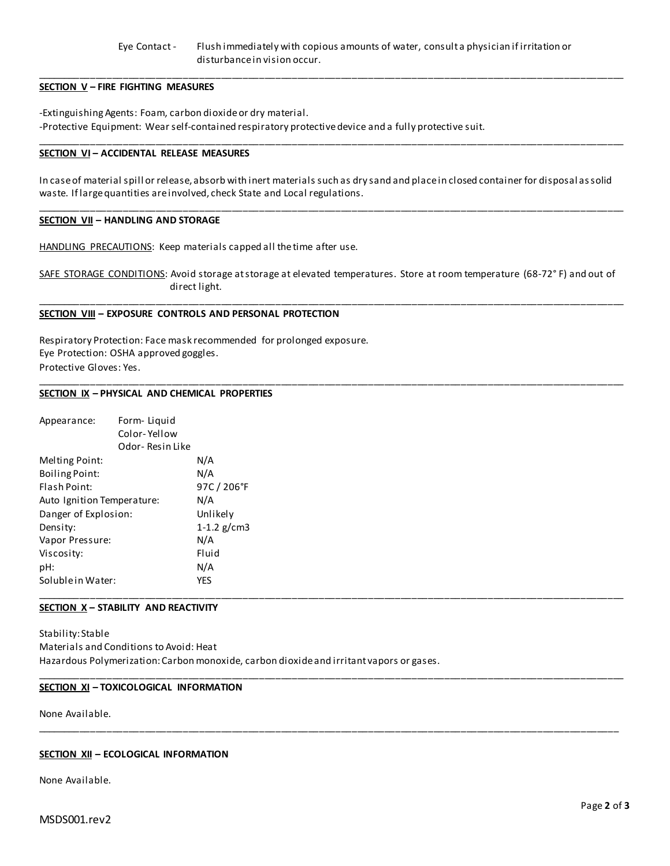#### Eye Contact - Flush immediately with copious amounts of water, consult a physician if irritation or disturbance in vision occur.

\_\_\_\_\_\_\_\_\_\_\_\_\_\_\_\_\_\_\_\_\_\_\_\_\_\_\_\_\_\_\_\_\_\_\_\_\_\_\_\_\_\_\_\_\_\_\_\_\_\_\_\_\_\_\_\_\_\_\_\_\_\_\_\_\_\_\_\_\_\_\_\_\_\_\_\_\_\_\_\_\_\_\_\_\_\_\_\_\_\_\_\_\_\_\_\_\_\_\_\_\_\_\_\_\_\_\_\_

\_\_\_\_\_\_\_\_\_\_\_\_\_\_\_\_\_\_\_\_\_\_\_\_\_\_\_\_\_\_\_\_\_\_\_\_\_\_\_\_\_\_\_\_\_\_\_\_\_\_\_\_\_\_\_\_\_\_\_\_\_\_\_\_\_\_\_\_\_\_\_\_\_\_\_\_\_\_\_\_\_\_\_\_\_\_\_\_\_\_\_\_\_\_\_\_\_\_\_\_\_\_\_\_\_\_\_\_

## **SECTION V – FIRE FIGHTING MEASURES**

-Extinguishing Agents: Foam, carbon dioxide or dry material. -Protective Equipment: Wear self-contained respiratory protective device and a fully protective suit.

#### **SECTION VI – ACCIDENTAL RELEASE MEASURES**

In case of material spill or release, absorb with inert materials such as dry sand and place in closed container for disposal as solid waste. If large quantities are involved, check State and Local regulations.

\_\_\_\_\_\_\_\_\_\_\_\_\_\_\_\_\_\_\_\_\_\_\_\_\_\_\_\_\_\_\_\_\_\_\_\_\_\_\_\_\_\_\_\_\_\_\_\_\_\_\_\_\_\_\_\_\_\_\_\_\_\_\_\_\_\_\_\_\_\_\_\_\_\_\_\_\_\_\_\_\_\_\_\_\_\_\_\_\_\_\_\_\_\_\_\_\_\_\_\_\_\_\_\_\_\_\_\_

#### **SECTION VII – HANDLING AND STORAGE**

HANDLING PRECAUTIONS: Keep materials capped all the time after use.

SAFE STORAGE CONDITIONS: Avoid storage at storage at elevated temperatures. Store at room temperature (68-72°F) and out of direct light.

\_\_\_\_\_\_\_\_\_\_\_\_\_\_\_\_\_\_\_\_\_\_\_\_\_\_\_\_\_\_\_\_\_\_\_\_\_\_\_\_\_\_\_\_\_\_\_\_\_\_\_\_\_\_\_\_\_\_\_\_\_\_\_\_\_\_\_\_\_\_\_\_\_\_\_\_\_\_\_\_\_\_\_\_\_\_\_\_\_\_\_\_\_\_\_\_\_\_\_\_\_\_\_\_\_\_\_\_

\_\_\_\_\_\_\_\_\_\_\_\_\_\_\_\_\_\_\_\_\_\_\_\_\_\_\_\_\_\_\_\_\_\_\_\_\_\_\_\_\_\_\_\_\_\_\_\_\_\_\_\_\_\_\_\_\_\_\_\_\_\_\_\_\_\_\_\_\_\_\_\_\_\_\_\_\_\_\_\_\_\_\_\_\_\_\_\_\_\_\_\_\_\_\_\_\_\_\_\_\_\_\_\_\_\_\_\_

\_\_\_\_\_\_\_\_\_\_\_\_\_\_\_\_\_\_\_\_\_\_\_\_\_\_\_\_\_\_\_\_\_\_\_\_\_\_\_\_\_\_\_\_\_\_\_\_\_\_\_\_\_\_\_\_\_\_\_\_\_\_\_\_\_\_\_\_\_\_\_\_\_\_\_\_\_\_\_\_\_\_\_\_\_\_\_\_\_\_\_\_\_\_\_\_\_\_\_\_\_\_\_\_\_\_\_\_

\_\_\_\_\_\_\_\_\_\_\_\_\_\_\_\_\_\_\_\_\_\_\_\_\_\_\_\_\_\_\_\_\_\_\_\_\_\_\_\_\_\_\_\_\_\_\_\_\_\_\_\_\_\_\_\_\_\_\_\_\_\_\_\_\_\_\_\_\_\_\_\_\_\_\_\_\_\_\_\_\_\_\_\_\_\_\_\_\_\_\_\_\_\_\_\_\_\_\_\_\_\_\_\_\_\_\_

#### **SECTION VIII – EXPOSURE CONTROLS AND PERSONAL PROTECTION**

Respiratory Protection: Face mask recommended for prolonged exposure. Eye Protection: OSHA approved goggles. Protective Gloves: Yes.

#### **SECTION IX – PHYSICAL AND CHEMICAL PROPERTIES**

| Appearance:                | Form-Liquid     |               |  |  |
|----------------------------|-----------------|---------------|--|--|
|                            | Color-Yellow    |               |  |  |
|                            | Odor-Resin Like |               |  |  |
| Melting Point:             |                 | N/A           |  |  |
| <b>Boiling Point:</b>      |                 | N/A           |  |  |
| Flash Point:               |                 | 97C / 206°F   |  |  |
| Auto Ignition Temperature: |                 | N/A           |  |  |
| Danger of Explosion:       |                 | Unlikely      |  |  |
| Density:                   |                 | 1-1.2 $g/cm3$ |  |  |
| Vapor Pressure:            |                 | N/A           |  |  |
| Viscosity:                 |                 | Fluid         |  |  |
| pH:                        |                 | N/A           |  |  |
| Soluble in Water:          |                 | <b>YES</b>    |  |  |
|                            |                 |               |  |  |

## **SECTION X – STABILITY AND REACTIVITY**

Stability: Stable Materials and Conditions to Avoid: Heat Hazardous Polymerization: Carbon monoxide, carbon dioxide and irritant vapors or gases.

#### **SECTION XI – TOXICOLOGICAL INFORMATION**

None Available.

#### **SECTION XII – ECOLOGICAL INFORMATION**

None Available.